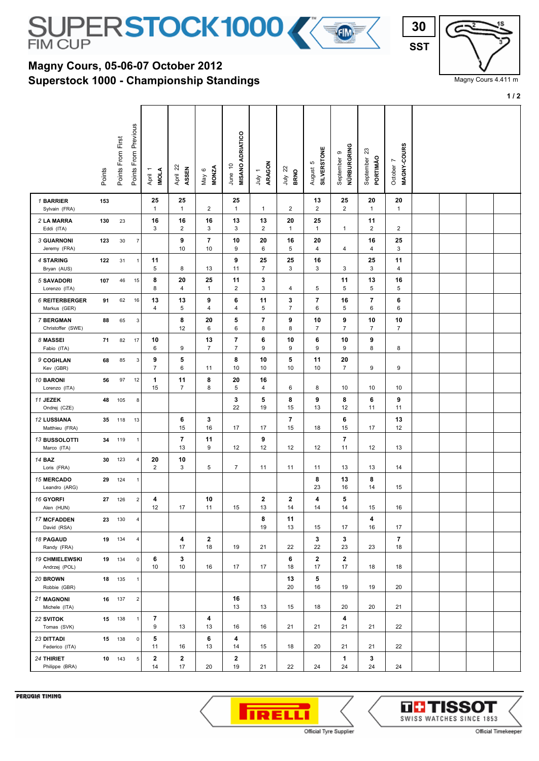

## **Superstock 1000 - Championship Standings Magny Cours, 05-06-07 October 2012**



Magny Cours 4.411 m

**1 / 2**

|                                        | Points | Points From First | Points From Previous | <b>IMOLA</b><br>April 1 | April 22<br>ASSEN               | <b>MONZA</b><br>May 6         | <b>MISANO ADRIATICO</b><br>June 10 | ARAGON<br>$\overline{\phantom{0}}$<br>$\frac{1}{2}$ | $\overline{2}$<br><b>BRNO</b><br>ληr | <b>SILVERSTONE</b><br>Ю<br>August | NÜRBURGRING<br>თ<br>September | $\mathbb{S}^2$<br>PORTIMÃO<br>September | MAGNY-COURS<br>L<br>October |  |  |
|----------------------------------------|--------|-------------------|----------------------|-------------------------|---------------------------------|-------------------------------|------------------------------------|-----------------------------------------------------|--------------------------------------|-----------------------------------|-------------------------------|-----------------------------------------|-----------------------------|--|--|
| 1 BARRIER<br>Sylvain (FRA)             | 153    |                   |                      | 25<br>$\mathbf{1}$      | 25<br>$\mathbf{1}$              | $\overline{2}$                | 25<br>$\mathbf{1}$                 | 1                                                   | $\overline{c}$                       | 13<br>$\overline{2}$              | 25<br>$\overline{2}$          | 20<br>$\mathbf{1}$                      | 20<br>$\mathbf{1}$          |  |  |
| 2 LA MARRA<br>Eddi (ITA)               | 130    | 23                |                      | 16<br>3                 | 16<br>$\overline{2}$            | 16<br>3                       | 13<br>3                            | 13<br>$\overline{\mathbf{c}}$                       | 20<br>$\overline{1}$                 | 25<br>$\mathbf{1}$                | $\mathbf{1}$                  | 11<br>$\overline{\mathbf{c}}$           | $\overline{\mathbf{c}}$     |  |  |
| <b>3 GUARNONI</b><br>Jeremy (FRA)      | 123    | 30                | $\boldsymbol{7}$     |                         | 9<br>10                         | $\overline{\mathbf{r}}$<br>10 | 10<br>9                            | 20<br>6                                             | 16<br>5                              | 20<br>$\overline{4}$              | 4                             | 16<br>4                                 | 25<br>3                     |  |  |
| 4 STARING<br>Bryan (AUS)               | 122    | 31                | $\mathbf{1}$         | 11<br>5                 | 8                               | 13                            | 9<br>11                            | 25<br>$\overline{7}$                                | 25<br>3                              | 16<br>3                           | 3                             | 25<br>3                                 | 11<br>4                     |  |  |
| 5 SAVADORI<br>Lorenzo (ITA)            | 107    | 46                | 15                   | 8<br>8                  | 20<br>4                         | 25<br>$\mathbf{1}$            | 11<br>$\overline{c}$               | 3<br>3                                              | 4                                    | 5                                 | 11<br>5                       | 13<br>5                                 | 16<br>5                     |  |  |
| <b>6 REITERBERGER</b><br>Markus (GER)  | 91     | 62                | 16                   | 13<br>4                 | 13<br>5                         | 9<br>4                        | 6<br>$\overline{\mathbf{4}}$       | 11<br>5                                             | 3<br>$\overline{7}$                  | 7<br>6                            | 16<br>5                       | 7<br>6                                  | 6<br>6                      |  |  |
| 7 BERGMAN<br>Christoffer (SWE)         | 88     | 65                | 3                    |                         | 8<br>12                         | 20<br>6                       | 5<br>6                             | 7<br>8                                              | 9<br>8                               | 10<br>$\overline{7}$              | 9<br>$\overline{7}$           | 10<br>7                                 | 10<br>$\overline{7}$        |  |  |
| 8 MASSEI<br>Fabio (ITA)                | 71     | 82                | 17                   | 10<br>6                 | 9                               | 13<br>$\overline{7}$          | $\overline{7}$<br>$\overline{7}$   | 6<br>9                                              | 10<br>9                              | 6<br>9                            | 10<br>9                       | 9<br>8                                  | 8                           |  |  |
| 9 COGHLAN<br>Kev (GBR)                 | 68     | 85                | 3                    | 9<br>$\overline{7}$     | 5<br>6                          | 11                            | 8<br>10                            | 10<br>10                                            | 5<br>10                              | 11<br>10                          | 20<br>$\overline{7}$          | 9                                       | 9                           |  |  |
| 10 BARONI<br>Lorenzo (ITA)             | 56     | 97                | 12                   | $\mathbf{1}$<br>15      | 11<br>7                         | 8<br>8                        | 20<br>5                            | 16<br>4                                             | 6                                    | 8                                 | 10                            | 10                                      | 10                          |  |  |
| 11 JEZEK<br>Ondrej (CZE)               | 48     | 105               | 8                    |                         |                                 |                               | 3<br>22                            | 5<br>19                                             | 8<br>15                              | 9<br>13                           | 8<br>12                       | 6<br>11                                 | 9<br>11                     |  |  |
| 12 LUSSIANA<br>Matthieu (FRA)          | 35     | 118               | 13                   |                         | 6<br>15                         | 3<br>16                       | 17                                 | 17                                                  | 7<br>15                              | 18                                | 6<br>15                       | 17                                      | 13<br>12                    |  |  |
| 13 BUSSOLOTTI<br>Marco (ITA)           | 34     | 119               | $\mathbf{1}$         |                         | 7<br>13                         | 11<br>9                       | 12                                 | 9<br>12                                             | 12                                   | 12                                | 7<br>11                       | 12                                      | 13                          |  |  |
| <b>14 BAZ</b><br>Loris (FRA)           | 30     | 123               | 4                    | 20<br>$\overline{2}$    | 10<br>$\ensuremath{\mathsf{3}}$ | 5                             | $\overline{7}$                     | 11                                                  | 11                                   | 11                                | 13                            | 13                                      | 14                          |  |  |
| <b>15 MERCADO</b><br>Leandro (ARG)     | 29     | 124               | $\mathbf{1}$         |                         |                                 |                               |                                    |                                                     |                                      | 8<br>23                           | 13<br>16                      | 8<br>14                                 | 15                          |  |  |
| 16 GYORFI<br>Alen (HUN)                | 27     | 126               | $\sqrt{2}$           | 4<br>12                 | 17                              | 10<br>11                      | 15                                 | $\mathbf{2}$<br>13                                  | $\mathbf{2}$<br>14                   | 4<br>14                           | 5<br>14                       | 15                                      | 16                          |  |  |
| 17 MCFADDEN<br>David (RSA)             |        | 23 130            | 4                    |                         |                                 |                               |                                    | 8<br>19                                             | 11<br>13                             | 15                                | 17                            | 4<br>16                                 | 17                          |  |  |
| <b>18 PAGAUD</b><br>Randy (FRA)        |        | 19 134            | 4                    |                         | 4<br>17                         | $\mathbf{2}$<br>18            | 19                                 | 21                                                  | 22                                   | 3<br>22                           | 3<br>23                       | 23                                      | 7<br>18                     |  |  |
| <b>19 CHMIELEWSKI</b><br>Andrzej (POL) |        | 19 134            | $\pmb{0}$            | 6<br>10                 | 3<br>10                         | 16                            | 17                                 | 17                                                  | 6<br>18                              | $\mathbf{2}$<br>17                | 2<br>17                       | 18                                      | 18                          |  |  |
| 20 BROWN<br>Robbie (GBR)               |        | 18 135            | $\mathbf{1}$         |                         |                                 |                               |                                    |                                                     | 13<br>20                             | 5<br>16                           | 19                            | 19                                      | 20                          |  |  |
| 21 MAGNONI<br>Michele (ITA)            |        | 16 137            | $\sqrt{2}$           |                         |                                 |                               | 16<br>13                           | 13                                                  | 15                                   | 18                                | 20                            | 20                                      | 21                          |  |  |
| 22 SVITOK<br>Tomas (SVK)               |        | 15 138            | $\mathbf{1}$         | 7<br>9                  | 13                              | 4<br>13                       | 16                                 | 16                                                  | 21                                   | 21                                | 4<br>21                       | 21                                      | 22                          |  |  |
| 23 DITTADI<br>Federico (ITA)           |        | 15 138            | 0                    | 5<br>11                 | 16                              | 6<br>13                       | 4<br>14                            | 15                                                  | 18                                   | 20                                | 21                            | 21                                      | 22                          |  |  |
| 24 THIRIET<br>Philippe (BRA)           |        | 10 143            | $\,$ 5 $\,$          | 2<br>14                 | $\mathbf{2}$<br>17              | 20                            | $\mathbf 2$<br>19                  | 21                                                  | 22                                   | 24                                | 1<br>24                       | 3<br>24                                 | 24                          |  |  |

PERUGIA TIMING